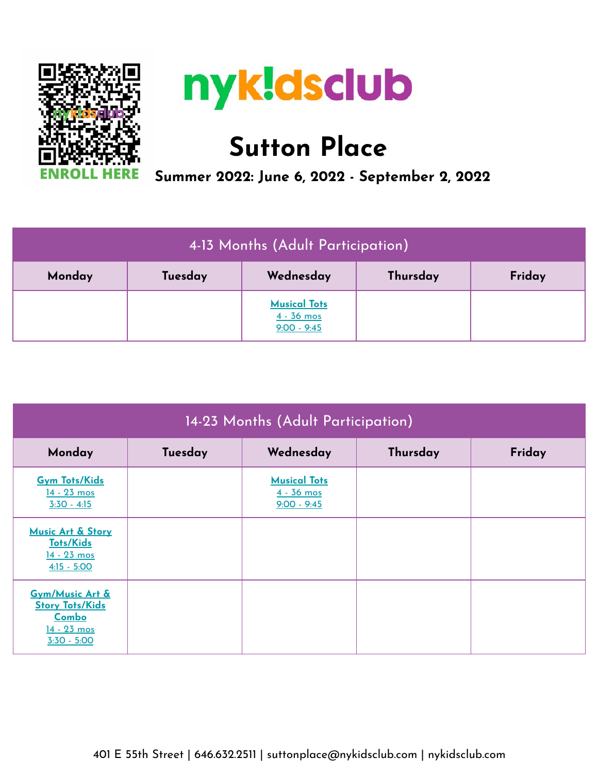



## **Sutton Place**

 **Summer 2022: June 6, 2022 - September 2, 2022**

| 4-13 Months (Adult Participation) |         |                                                      |          |        |
|-----------------------------------|---------|------------------------------------------------------|----------|--------|
| Monday                            | Tuesday | Wednesday                                            | Thursday | Friday |
|                                   |         | <b>Musical Tots</b><br>$4 - 36$ mos<br>$9:00 - 9:45$ |          |        |

| 14-23 Months (Adult Participation)                                                   |         |                                                      |          |        |
|--------------------------------------------------------------------------------------|---------|------------------------------------------------------|----------|--------|
| Monday                                                                               | Tuesday | Wednesday                                            | Thursday | Friday |
| <b>Gym Tots/Kids</b><br>14 - 23 mos<br>$3:30 - 4:15$                                 |         | <b>Musical Tots</b><br>$4 - 36$ mos<br>$9:00 - 9:45$ |          |        |
| Music Art & Story<br><b>Tots/Kids</b><br>$14 - 23$ mos<br>$4:15 - 5:00$              |         |                                                      |          |        |
| Gym/Music Art &<br><b>Story Tots/Kids</b><br>Combo<br>$14 - 23$ mos<br>$3:30 - 5:00$ |         |                                                      |          |        |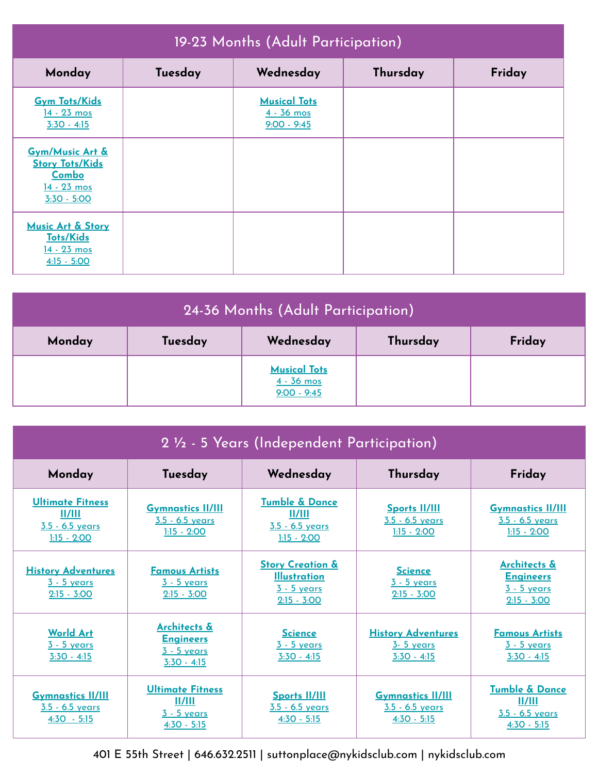| 19-23 Months (Adult Participation)                                                 |         |                                                      |          |        |
|------------------------------------------------------------------------------------|---------|------------------------------------------------------|----------|--------|
| Monday                                                                             | Tuesday | Wednesday                                            | Thursday | Friday |
| <b>Gym Tots/Kids</b><br>14 - 23 mos<br>$3:30 - 4:15$                               |         | <b>Musical Tots</b><br>$4 - 36$ mos<br>$9:00 - 9:45$ |          |        |
| Gym/Music Art &<br><b>Story Tots/Kids</b><br>Combo<br>14 - 23 mos<br>$3:30 - 5:00$ |         |                                                      |          |        |
| Music Art & Story<br><b>Tots/Kids</b><br>14 - 23 mos<br>$4:15 - 5:00$              |         |                                                      |          |        |

| 24-36 Months (Adult Participation) |         |                                                      |          |        |
|------------------------------------|---------|------------------------------------------------------|----------|--------|
| Monday                             | Tuesday | Wednesday                                            | Thursday | Friday |
|                                    |         | <b>Musical Tots</b><br>$4 - 36$ mos<br>$9:00 - 9:45$ |          |        |

| 2 1/2 - 5 Years (Independent Participation)                           |                                                                          |                                                                                           |                                                                |                                                                                    |
|-----------------------------------------------------------------------|--------------------------------------------------------------------------|-------------------------------------------------------------------------------------------|----------------------------------------------------------------|------------------------------------------------------------------------------------|
| Monday                                                                | Tuesday                                                                  | Wednesday                                                                                 | Thursday                                                       | Friday                                                                             |
| <b>Ultimate Fitness</b><br>II/III<br>3.5 - 6.5 years<br>$1:15 - 2:00$ | <b>Gymnastics II/III</b><br>3.5 - 6.5 years<br>$1:15 - 2:00$             | <b>Tumble &amp; Dance</b><br>$\frac{11}{111}$<br>3.5 - 6.5 years<br>$1:15 - 2:00$         | <b>Sports II/III</b><br>3.5 - 6.5 years<br>$1:15 - 2:00$       | <b>Gymnastics II/III</b><br>3.5 - 6.5 years<br>$1:15 - 2:00$                       |
| <b>History Adventures</b><br>$3 - 5$ years<br>$2:15 - 3:00$           | <b>Famous Artists</b><br>$3 - 5$ years<br>$2:15 - 3:00$                  | <b>Story Creation &amp;</b><br><b>Illustration</b><br><u>3 - 5 years</u><br>$2:15 - 3:00$ | <b>Science</b><br>3 - 5 years<br>$2:15 - 3:00$                 | <u>Architects &amp;</u><br><b>Engineers</b><br><u>3 - 5 years</u><br>$2:15 - 3:00$ |
| <b>World Art</b><br><u>3 - 5 years</u><br>$3:30 - 4:15$               | Architects &<br><b>Engineers</b><br>$3 - 5$ years<br>$3:30 - 4:15$       | <b>Science</b><br><u>3 - 5 years</u><br>$3:30 - 4:15$                                     | <b>History Adventures</b><br><u>3-5 years</u><br>$3:30 - 4:15$ | <b>Famous Artists</b><br><u>3 - 5 years</u><br>$3:30 - 4:15$                       |
| <b>Gymnastics II/III</b><br>3.5 - 6.5 years<br>$4:30 - 5:15$          | <b>Ultimate Fitness</b><br>II/III<br><u>3 - 5 years</u><br>$4:30 - 5:15$ | <b>Sports II/III</b><br>3.5 - 6.5 years<br>$4:30 - 5:15$                                  | <b>Gymnastics II/III</b><br>3.5 - 6.5 years<br>$4:30 - 5:15$   | Tumble & Dance<br>II/III<br>$3.5 - 6.5$ years<br>$4:30 - 5:15$                     |

401 E 55th Street | 646.632.2511 | suttonplace@nykidsclub.com | nykidsclub.com